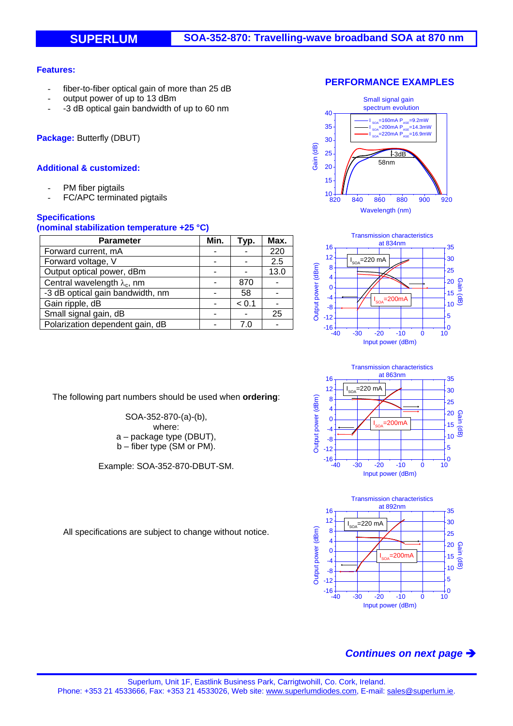### **Features:**

- fiber-to-fiber optical gain of more than 25 dB
- output power of up to 13 dBm
- -3 dB optical gain bandwidth of up to 60 nm

**Package:** Butterfly (DBUT)

## **Additional & customized:**

- PM fiber pigtails
- FC/APC terminated pigtails

## **Specifications**

#### **(nominal stabilization temperature +25 °C)**

| <b>Parameter</b>                    | Min. | Typ.  | Max. |
|-------------------------------------|------|-------|------|
| Forward current, mA                 |      |       | 220  |
| Forward voltage, V                  |      |       | 2.5  |
| Output optical power, dBm           |      |       | 13.0 |
| Central wavelength $\lambda_c$ , nm |      | 870   |      |
| -3 dB optical gain bandwidth, nm    |      | 58    |      |
| Gain ripple, dB                     |      | < 0.1 |      |
| Small signal gain, dB               |      |       | 25   |
| Polarization dependent gain, dB     |      |       |      |









SOA-352-870-(a)-(b), where:

The following part numbers should be used when **ordering**:

a – package type (DBUT),

b – fiber type (SM or PM).

Example: SOA-352-870-DBUT-SM.

All specifications are subject to change without notice.

# *Continues on next page*

### **PERFORMANCE EXAMPLES**